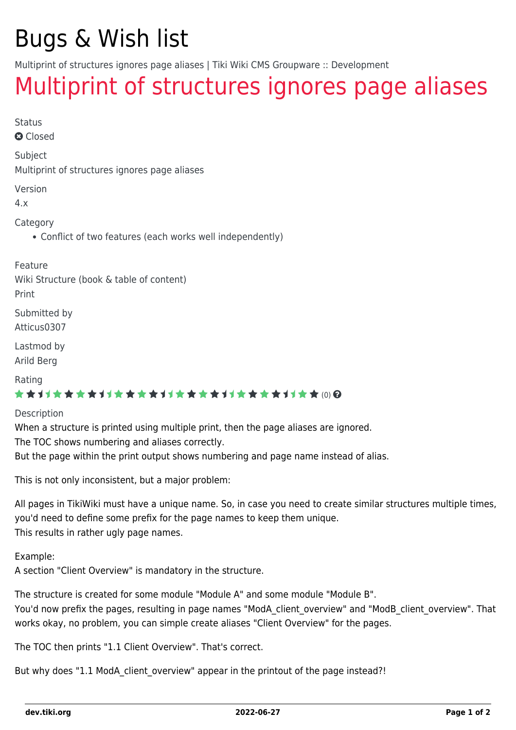## Bugs & Wish list

Multiprint of structures ignores page aliases | Tiki Wiki CMS Groupware :: Development

## [Multiprint of structures ignores page aliases](https://dev.tiki.org/item3024-Multiprint-of-structures-ignores-page-aliases)

Status

**a** Closed

Subject

Multiprint of structures ignores page aliases

Version

4.x

Category

Conflict of two features (each works well independently)

Feature Wiki Structure (book & table of content) Print

Submitted by Atticus0307

Lastmod by Arild Berg

Rating

#### ★★11★★★★11★★★★11★★★★11★★★★11★★ @@

Description

When a structure is printed using multiple print, then the page aliases are ignored.

The TOC shows numbering and aliases correctly.

But the page within the print output shows numbering and page name instead of alias.

This is not only inconsistent, but a major problem:

All pages in TikiWiki must have a unique name. So, in case you need to create similar structures multiple times, you'd need to define some prefix for the page names to keep them unique. This results in rather ugly page names.

Example:

A section "Client Overview" is mandatory in the structure.

The structure is created for some module "Module A" and some module "Module B". You'd now prefix the pages, resulting in page names "ModA client overview" and "ModB client overview". That works okay, no problem, you can simple create aliases "Client Overview" for the pages.

The TOC then prints "1.1 Client Overview". That's correct.

But why does "1.1 ModA client overview" appear in the printout of the page instead?!